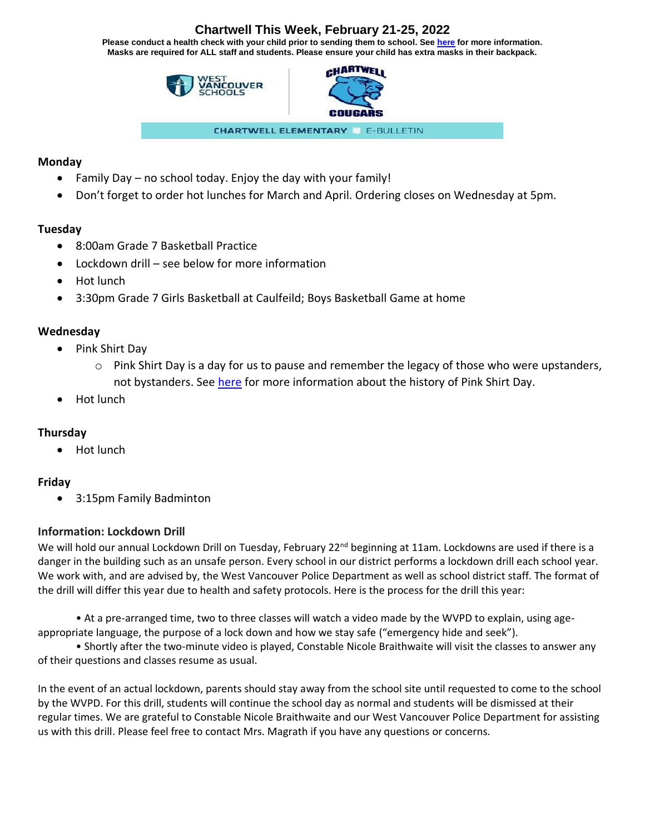# **Chartwell This Week, February 21-25, 2022**

**Please conduct a health check with your child prior to sending them to school. See [here](https://www.k12dailycheck.gov.bc.ca/healthcheck?execution=e2s1) for more information. Masks are required for ALL staff and students. Please ensure your child has extra masks in their backpack.**





**CHARTWELL ELEMENTARY E-BULLETIN** 

### **Monday**

- Family Day no school today. Enjoy the day with your family!
- Don't forget to order hot lunches for March and April. Ordering closes on Wednesday at 5pm.

## **Tuesday**

- 8:00am Grade 7 Basketball Practice
- Lockdown drill see below for more information
- Hot lunch
- 3:30pm Grade 7 Girls Basketball at Caulfeild; Boys Basketball Game at home

## **Wednesday**

- Pink Shirt Day
	- $\circ$  Pink Shirt Day is a day for us to pause and remember the legacy of those who were upstanders, not bystanders. See [here](https://www.cbc.ca/kidscbc2/the-feed/what-is-pink-shirt-day) for more information about the history of Pink Shirt Day.
- Hot lunch

## **Thursday**

• Hot lunch

## **Friday**

• 3:15pm Family Badminton

## **Information: Lockdown Drill**

We will hold our annual Lockdown Drill on Tuesday, February  $22^{nd}$  beginning at 11am. Lockdowns are used if there is a danger in the building such as an unsafe person. Every school in our district performs a lockdown drill each school year. We work with, and are advised by, the West Vancouver Police Department as well as school district staff. The format of the drill will differ this year due to health and safety protocols. Here is the process for the drill this year:

• At a pre-arranged time, two to three classes will watch a video made by the WVPD to explain, using ageappropriate language, the purpose of a lock down and how we stay safe ("emergency hide and seek").

• Shortly after the two-minute video is played, Constable Nicole Braithwaite will visit the classes to answer any of their questions and classes resume as usual.

In the event of an actual lockdown, parents should stay away from the school site until requested to come to the school by the WVPD. For this drill, students will continue the school day as normal and students will be dismissed at their regular times. We are grateful to Constable Nicole Braithwaite and our West Vancouver Police Department for assisting us with this drill. Please feel free to contact Mrs. Magrath if you have any questions or concerns.